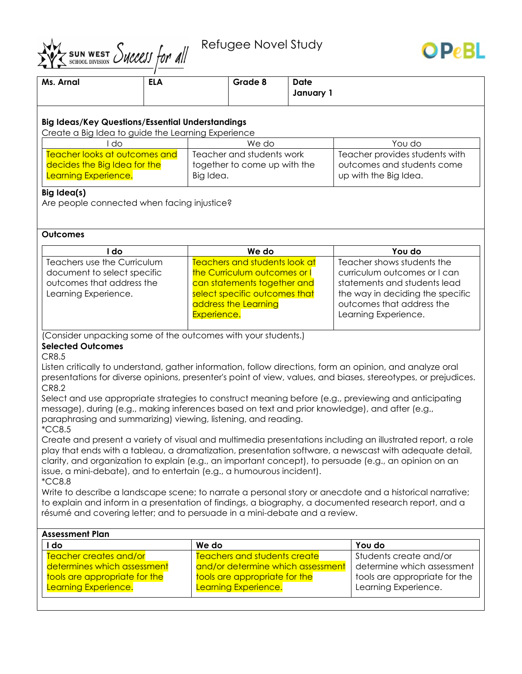Refugee Novel Study



| Ms. Arnal                                                                                                                                                        | <b>ELA</b> |                              | Grade 8                             | <b>Date</b> |                                                                                                           |  |  |
|------------------------------------------------------------------------------------------------------------------------------------------------------------------|------------|------------------------------|-------------------------------------|-------------|-----------------------------------------------------------------------------------------------------------|--|--|
|                                                                                                                                                                  |            |                              |                                     | January 1   |                                                                                                           |  |  |
|                                                                                                                                                                  |            |                              |                                     |             |                                                                                                           |  |  |
| <b>Big Ideas/Key Questions/Essential Understandings</b>                                                                                                          |            |                              |                                     |             |                                                                                                           |  |  |
| Create a Big Idea to guide the Learning Experience                                                                                                               |            |                              |                                     |             |                                                                                                           |  |  |
| do                                                                                                                                                               |            | We do                        |                                     |             | You do                                                                                                    |  |  |
| Teacher looks at outcomes and                                                                                                                                    |            | Teacher and students work    |                                     |             | Teacher provides students with                                                                            |  |  |
| decides the Big Idea for the                                                                                                                                     |            | together to come up with the |                                     |             | outcomes and students come                                                                                |  |  |
| Learning Experience.                                                                                                                                             |            | Big Idea.                    |                                     |             | up with the Big Idea.                                                                                     |  |  |
| Big Idea(s)                                                                                                                                                      |            |                              |                                     |             |                                                                                                           |  |  |
| Are people connected when facing injustice?                                                                                                                      |            |                              |                                     |             |                                                                                                           |  |  |
|                                                                                                                                                                  |            |                              |                                     |             |                                                                                                           |  |  |
|                                                                                                                                                                  |            |                              |                                     |             |                                                                                                           |  |  |
| <b>Outcomes</b>                                                                                                                                                  |            |                              |                                     |             |                                                                                                           |  |  |
| I do                                                                                                                                                             |            |                              | We do                               |             | You do                                                                                                    |  |  |
| Teachers use the Curriculum                                                                                                                                      |            |                              | Teachers and students look at       |             | Teacher shows students the                                                                                |  |  |
| document to select specific                                                                                                                                      |            | the Curriculum outcomes or I |                                     |             | curriculum outcomes or I can                                                                              |  |  |
| outcomes that address the                                                                                                                                        |            | can statements together and  |                                     |             | statements and students lead                                                                              |  |  |
| Learning Experience.                                                                                                                                             |            |                              | select specific outcomes that       |             | the way in deciding the specific                                                                          |  |  |
|                                                                                                                                                                  |            |                              | address the Learning                |             | outcomes that address the                                                                                 |  |  |
|                                                                                                                                                                  |            | Experience.                  |                                     |             | Learning Experience.                                                                                      |  |  |
|                                                                                                                                                                  |            |                              |                                     |             |                                                                                                           |  |  |
| (Consider unpacking some of the outcomes with your students.)                                                                                                    |            |                              |                                     |             |                                                                                                           |  |  |
| <b>Selected Outcomes</b>                                                                                                                                         |            |                              |                                     |             |                                                                                                           |  |  |
| CR8.5                                                                                                                                                            |            |                              |                                     |             |                                                                                                           |  |  |
|                                                                                                                                                                  |            |                              |                                     |             | Listen critically to understand, gather information, follow directions, form an opinion, and analyze oral |  |  |
| presentations for diverse opinions, presenter's point of view, values, and biases, stereotypes, or prejudices.                                                   |            |                              |                                     |             |                                                                                                           |  |  |
| CR8.2                                                                                                                                                            |            |                              |                                     |             |                                                                                                           |  |  |
| Select and use appropriate strategies to construct meaning before (e.g., previewing and anticipating                                                             |            |                              |                                     |             |                                                                                                           |  |  |
| message), during (e.g., making inferences based on text and prior knowledge), and after (e.g.,<br>paraphrasing and summarizing) viewing, listening, and reading. |            |                              |                                     |             |                                                                                                           |  |  |
| <i>*CC8.5</i>                                                                                                                                                    |            |                              |                                     |             |                                                                                                           |  |  |
| Create and present a variety of visual and multimedia presentations including an illustrated report, a role                                                      |            |                              |                                     |             |                                                                                                           |  |  |
| play that ends with a tableau, a dramatization, presentation software, a newscast with adequate detail,                                                          |            |                              |                                     |             |                                                                                                           |  |  |
| clarity, and organization to explain (e.g., an important concept), to persuade (e.g., an opinion on an                                                           |            |                              |                                     |             |                                                                                                           |  |  |
| issue, a mini-debate), and to entertain (e.g., a humourous incident).                                                                                            |            |                              |                                     |             |                                                                                                           |  |  |
| <i>*CC8.8</i>                                                                                                                                                    |            |                              |                                     |             |                                                                                                           |  |  |
|                                                                                                                                                                  |            |                              |                                     |             | Write to describe a landscape scene; to narrate a personal story or anecdote and a historical narrative;  |  |  |
| to explain and inform in a presentation of findings, a biography, a documented research report, and a                                                            |            |                              |                                     |             |                                                                                                           |  |  |
| résumé and covering letter; and to persuade in a mini-debate and a review.                                                                                       |            |                              |                                     |             |                                                                                                           |  |  |
|                                                                                                                                                                  |            |                              |                                     |             |                                                                                                           |  |  |
| <b>Assessment Plan</b>                                                                                                                                           |            |                              |                                     |             |                                                                                                           |  |  |
| I do                                                                                                                                                             |            | We do                        |                                     |             | You do                                                                                                    |  |  |
| Teacher creates and/or                                                                                                                                           |            |                              | <b>Teachers and students create</b> |             | Students create and/or                                                                                    |  |  |
| determines which assessment                                                                                                                                      |            |                              | and/or determine which assessment   |             | determine which assessment                                                                                |  |  |
| tools are appropriate for the<br>Learning Experience.                                                                                                            |            |                              | tools are appropriate for the       |             | tools are appropriate for the<br>Learning Experience.                                                     |  |  |
|                                                                                                                                                                  |            | Learning Experience.         |                                     |             |                                                                                                           |  |  |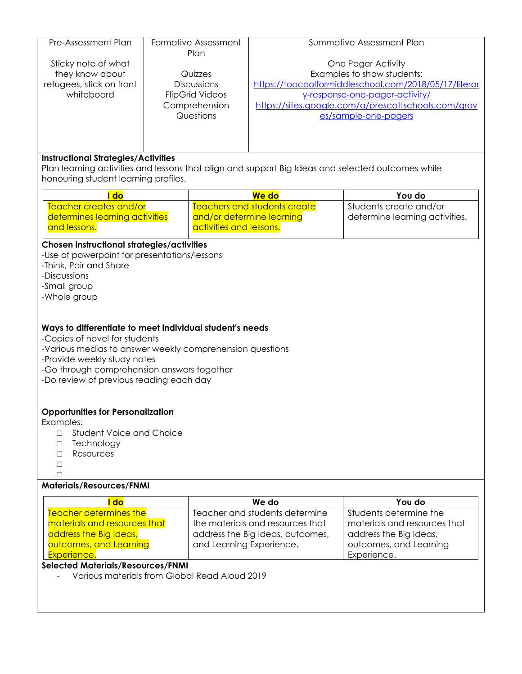| Pre-Assessment Plan                                                                                                                             | Formative Assessment |                           | Summative Assessment Plan                             |                                       |  |  |  |  |
|-------------------------------------------------------------------------------------------------------------------------------------------------|----------------------|---------------------------|-------------------------------------------------------|---------------------------------------|--|--|--|--|
| Sticky note of what                                                                                                                             | Plan                 |                           | One Pager Activity                                    |                                       |  |  |  |  |
| they know about                                                                                                                                 | Quizzes              |                           | Examples to show students:                            |                                       |  |  |  |  |
| refugees, stick on front                                                                                                                        | <b>Discussions</b>   |                           | https://toocoolformiddleschool.com/2018/05/17/literar |                                       |  |  |  |  |
| whiteboard                                                                                                                                      |                      | <b>FlipGrid Videos</b>    | y-response-one-pager-activity/                        |                                       |  |  |  |  |
|                                                                                                                                                 | Comprehension        |                           | https://sites.google.com/a/prescottschools.com/grov   |                                       |  |  |  |  |
|                                                                                                                                                 | Questions            |                           | es/sample-one-pagers                                  |                                       |  |  |  |  |
|                                                                                                                                                 |                      |                           |                                                       |                                       |  |  |  |  |
|                                                                                                                                                 |                      |                           |                                                       |                                       |  |  |  |  |
|                                                                                                                                                 |                      |                           |                                                       |                                       |  |  |  |  |
| <b>Instructional Strategies/Activities</b><br>Plan learning activities and lessons that align and support Big Ideas and selected outcomes while |                      |                           |                                                       |                                       |  |  |  |  |
| honouring student learning profiles.                                                                                                            |                      |                           |                                                       |                                       |  |  |  |  |
| I do                                                                                                                                            |                      |                           | We do                                                 | You do                                |  |  |  |  |
| Teacher creates and/or                                                                                                                          |                      |                           | Teachers and students create                          | Students create and/or                |  |  |  |  |
| determines learning activities                                                                                                                  |                      | and/or determine learning | determine learning activities.                        |                                       |  |  |  |  |
| and lessons.                                                                                                                                    |                      | activities and lessons.   |                                                       |                                       |  |  |  |  |
|                                                                                                                                                 |                      |                           |                                                       |                                       |  |  |  |  |
| Chosen instructional strategies/activities                                                                                                      |                      |                           |                                                       |                                       |  |  |  |  |
| -Use of powerpoint for presentations/lessons                                                                                                    |                      |                           |                                                       |                                       |  |  |  |  |
| -Think, Pair and Share<br>-Discussions                                                                                                          |                      |                           |                                                       |                                       |  |  |  |  |
| -Small group                                                                                                                                    |                      |                           |                                                       |                                       |  |  |  |  |
| -Whole group                                                                                                                                    |                      |                           |                                                       |                                       |  |  |  |  |
|                                                                                                                                                 |                      |                           |                                                       |                                       |  |  |  |  |
|                                                                                                                                                 |                      |                           |                                                       |                                       |  |  |  |  |
| Ways to differentiate to meet individual student's needs                                                                                        |                      |                           |                                                       |                                       |  |  |  |  |
| -Copies of novel for students                                                                                                                   |                      |                           |                                                       |                                       |  |  |  |  |
| -Various medias to answer weekly comprehension questions                                                                                        |                      |                           |                                                       |                                       |  |  |  |  |
| -Provide weekly study notes                                                                                                                     |                      |                           |                                                       |                                       |  |  |  |  |
| -Go through comprehension answers together                                                                                                      |                      |                           |                                                       |                                       |  |  |  |  |
| -Do review of previous reading each day                                                                                                         |                      |                           |                                                       |                                       |  |  |  |  |
|                                                                                                                                                 |                      |                           |                                                       |                                       |  |  |  |  |
| <b>Opportunities for Personalization</b>                                                                                                        |                      |                           |                                                       |                                       |  |  |  |  |
| Examples:                                                                                                                                       |                      |                           |                                                       |                                       |  |  |  |  |
| <b>Student Voice and Choice</b><br>П                                                                                                            |                      |                           |                                                       |                                       |  |  |  |  |
| Technology<br>П                                                                                                                                 |                      |                           |                                                       |                                       |  |  |  |  |
| Resources<br>П                                                                                                                                  |                      |                           |                                                       |                                       |  |  |  |  |
| □                                                                                                                                               |                      |                           |                                                       |                                       |  |  |  |  |
| П                                                                                                                                               |                      |                           |                                                       |                                       |  |  |  |  |
| <b>Materials/Resources/FNMI</b>                                                                                                                 |                      |                           |                                                       |                                       |  |  |  |  |
| I do                                                                                                                                            |                      |                           | We do                                                 | You do                                |  |  |  |  |
| <b>Teacher determines the</b>                                                                                                                   |                      |                           | Teacher and students determine                        | Students determine the                |  |  |  |  |
| materials and resources that                                                                                                                    |                      |                           | the materials and resources that                      | materials and resources that          |  |  |  |  |
| address the Big Ideas,                                                                                                                          |                      |                           | address the Big Ideas, outcomes,                      | address the Big Ideas,                |  |  |  |  |
| outcomes, and Learning<br>Experience.                                                                                                           |                      | and Learning Experience.  |                                                       | outcomes, and Learning<br>Experience. |  |  |  |  |
| <b>Selected Materials/Resources/FNMI</b>                                                                                                        |                      |                           |                                                       |                                       |  |  |  |  |
| Various materials from Global Read Aloud 2019                                                                                                   |                      |                           |                                                       |                                       |  |  |  |  |
|                                                                                                                                                 |                      |                           |                                                       |                                       |  |  |  |  |
|                                                                                                                                                 |                      |                           |                                                       |                                       |  |  |  |  |
|                                                                                                                                                 |                      |                           |                                                       |                                       |  |  |  |  |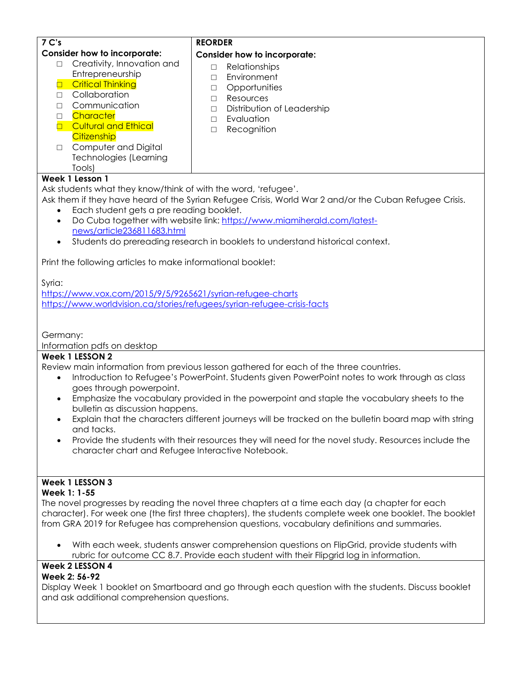| 7 C's                                                                                                       | <b>REORDER</b>                                                                                         |  |  |  |
|-------------------------------------------------------------------------------------------------------------|--------------------------------------------------------------------------------------------------------|--|--|--|
| <b>Consider how to incorporate:</b>                                                                         | <b>Consider how to incorporate:</b>                                                                    |  |  |  |
| Creativity, Innovation and<br>П                                                                             | Relationships<br>$\Box$                                                                                |  |  |  |
| Entrepreneurship                                                                                            | Environment<br>$\Box$                                                                                  |  |  |  |
| <b>D</b> Critical Thinking                                                                                  | Opportunities<br>$\Box$                                                                                |  |  |  |
| Collaboration<br>$\Box$                                                                                     | Resources<br>$\Box$                                                                                    |  |  |  |
| Communication<br>П                                                                                          | Distribution of Leadership<br>$\Box$                                                                   |  |  |  |
| Character<br>$\Box$                                                                                         | Evaluation<br>$\Box$                                                                                   |  |  |  |
| <b>D</b> Cultural and Ethical                                                                               | Recognition<br>П                                                                                       |  |  |  |
| Citizenship                                                                                                 |                                                                                                        |  |  |  |
| Computer and Digital<br>$\Box$                                                                              |                                                                                                        |  |  |  |
| <b>Technologies (Learning</b>                                                                               |                                                                                                        |  |  |  |
| Tools)                                                                                                      |                                                                                                        |  |  |  |
| Week 1 Lesson 1                                                                                             |                                                                                                        |  |  |  |
| Ask students what they know/think of with the word, 'refugee'.                                              |                                                                                                        |  |  |  |
|                                                                                                             | Ask them if they have heard of the Syrian Refugee Crisis, World War 2 and/or the Cuban Refugee Crisis. |  |  |  |
| Each student gets a pre reading booklet.                                                                    |                                                                                                        |  |  |  |
| $\bullet$                                                                                                   | Do Cuba together with website link: https://www.miamiherald.com/latest-                                |  |  |  |
| news/article236811683.html                                                                                  |                                                                                                        |  |  |  |
| $\bullet$                                                                                                   | Students do prereading research in booklets to understand historical context.                          |  |  |  |
| Print the following articles to make informational booklet:                                                 |                                                                                                        |  |  |  |
| Syria:                                                                                                      |                                                                                                        |  |  |  |
| https://www.vox.com/2015/9/5/9265621/syrian-refugee-charts                                                  |                                                                                                        |  |  |  |
| https://www.worldvision.ca/stories/refugees/syrian-refugee-crisis-facts                                     |                                                                                                        |  |  |  |
|                                                                                                             |                                                                                                        |  |  |  |
|                                                                                                             |                                                                                                        |  |  |  |
| Germany:                                                                                                    |                                                                                                        |  |  |  |
| Information pdfs on desktop                                                                                 |                                                                                                        |  |  |  |
| Week 1 LESSON 2                                                                                             |                                                                                                        |  |  |  |
|                                                                                                             | Review main information from previous lesson gathered for each of the three countries.                 |  |  |  |
| Introduction to Refugee's PowerPoint. Students given PowerPoint notes to work through as class<br>$\bullet$ |                                                                                                        |  |  |  |
| goes through powerpoint.                                                                                    |                                                                                                        |  |  |  |
| $\bullet$                                                                                                   | Emphasize the vocabulary provided in the powerpoint and staple the vocabulary sheets to the            |  |  |  |
| bulletin as discussion happens.                                                                             |                                                                                                        |  |  |  |
|                                                                                                             | Explain that the characters different journeys will be tracked on the bulletin board map with string   |  |  |  |
| and tacks.                                                                                                  |                                                                                                        |  |  |  |

• Provide the students with their resources they will need for the novel study. Resources include the character chart and Refugee Interactive Notebook.

# **Week 1 LESSON 3**

### **Week 1: 1-55**

The novel progresses by reading the novel three chapters at a time each day (a chapter for each character). For week one (the first three chapters), the students complete week one booklet. The booklet from GRA 2019 for Refugee has comprehension questions, vocabulary definitions and summaries.

• With each week, students answer comprehension questions on FlipGrid, provide students with rubric for outcome CC 8.7. Provide each student with their Flipgrid log in information.

# **Week 2 LESSON 4**

### **Week 2: 56-92**

Display Week 1 booklet on Smartboard and go through each question with the students. Discuss booklet and ask additional comprehension questions.